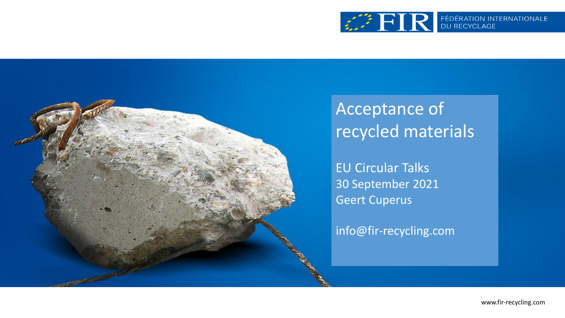



#### Acceptance of recycled materials

EU Circular Talks 30 September 2021 Geert Cuperus

info@fir-recycling.com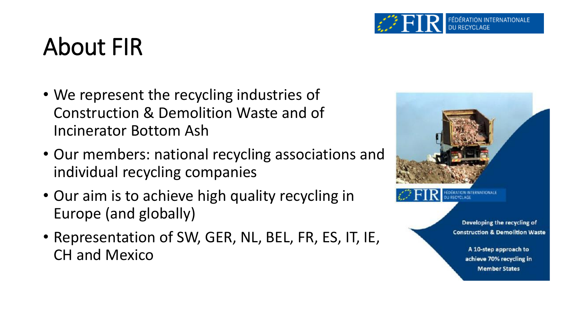

#### About FIR

- We represent the recycling industries of Construction & Demolition Waste and of Incinerator Bottom Ash
- Our members: national recycling associations and individual recycling companies
- Our aim is to achieve high quality recycling in Europe (and globally)
- Representation of SW, GER, NL, BEL, FR, ES, IT, IE, CH and Mexico



RECYCLAGE

Developing the recycling of **Construction & Demolition Waste** 

> A 10-step approach to achieve 70% recycling in **Member States**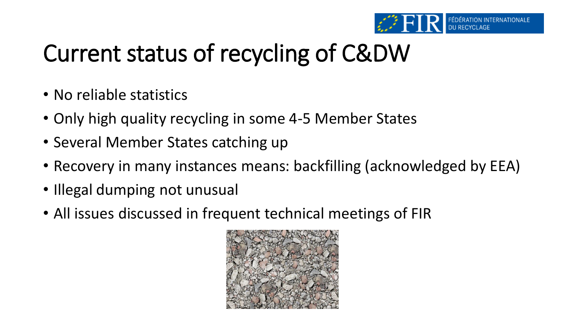

# Current status of recycling of C&DW

- No reliable statistics
- Only high quality recycling in some 4-5 Member States
- Several Member States catching up
- Recovery in many instances means: backfilling (acknowledged by EEA)
- Illegal dumping not unusual
- All issues discussed in frequent technical meetings of FIR

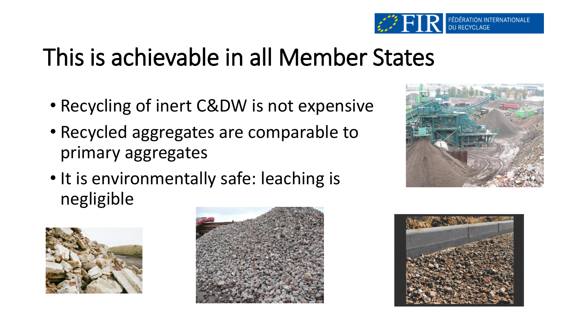

# This is achievable in all Member States

- Recycling of inert C&DW is not expensive
- Recycled aggregates are comparable to primary aggregates
- It is environmentally safe: leaching is negligible







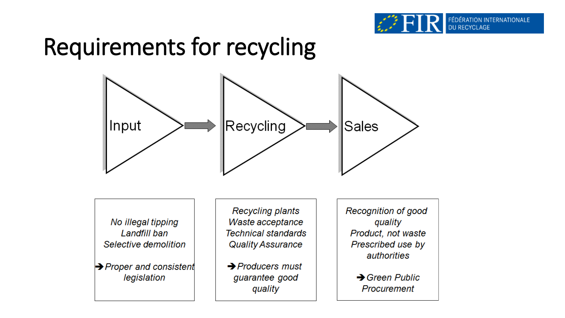

### Requirements for recycling



No illegal tipping Landfill ban Selective demolition

 $\rightarrow$  Proper and consistent legislation

Recycling plants Waste acceptance **Technical standards Quality Assurance** 

 $\rightarrow$  Producers must guarantee good quality

**Recognition of good** quality Product, not waste Prescribed use by authorities

> $\rightarrow$  Green Public Procurement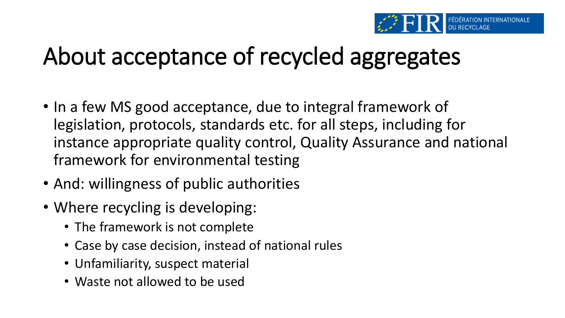

# About acceptance of recycled aggregates

- In a few MS good acceptance, due to integral framework of legislation, protocols, standards etc. for all steps, including for instance appropriate quality control, Quality Assurance and national framework for environmental testing
- And: willingness of public authorities
- Where recycling is developing:
	- The framework is not complete
	- Case by case decision, instead of national rules
	- Unfamiliarity, suspect material
	- Waste not allowed to be used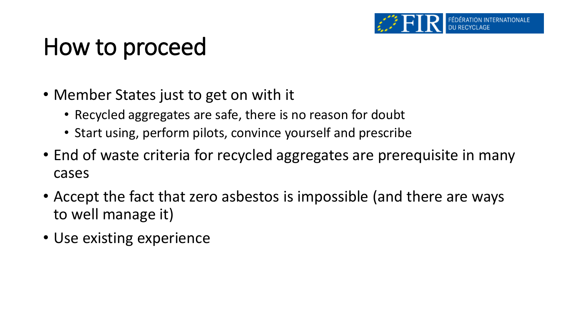### How to proceed

- Member States just to get on with it
	- Recycled aggregates are safe, there is no reason for doubt
	- Start using, perform pilots, convince yourself and prescribe
- End of waste criteria for recycled aggregates are prerequisite in many cases
- Accept the fact that zero asbestos is impossible (and there are ways to well manage it)
- Use existing experience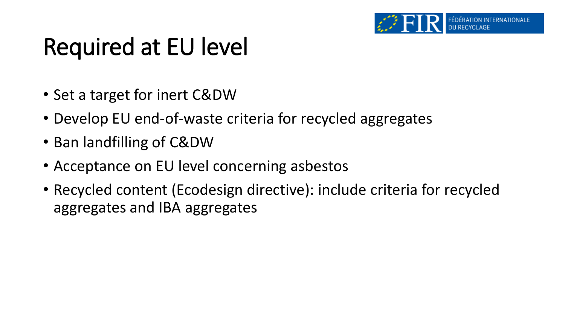

## Required at EU level

- Set a target for inert C&DW
- Develop EU end-of-waste criteria for recycled aggregates
- Ban landfilling of C&DW
- Acceptance on EU level concerning asbestos
- Recycled content (Ecodesign directive): include criteria for recycled aggregates and IBA aggregates